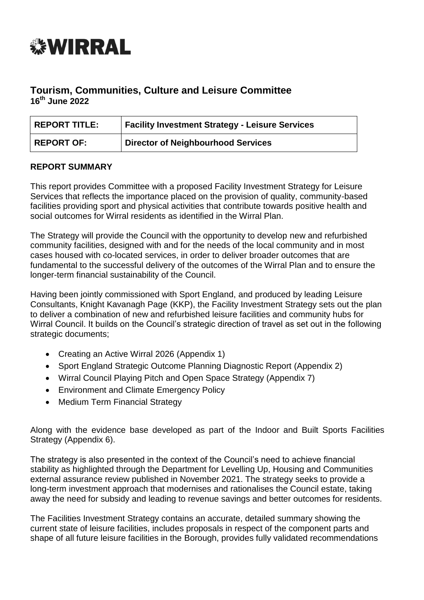

# **Tourism, Communities, Culture and Leisure Committee 16th June 2022**

| <b>REPORT TITLE:</b> | <b>Facility Investment Strategy - Leisure Services</b> |
|----------------------|--------------------------------------------------------|
| REPORT OF:           | <b>Director of Neighbourhood Services</b>              |

#### **REPORT SUMMARY**

This report provides Committee with a proposed Facility Investment Strategy for Leisure Services that reflects the importance placed on the provision of quality, community-based facilities providing sport and physical activities that contribute towards positive health and social outcomes for Wirral residents as identified in the Wirral Plan.

The Strategy will provide the Council with the opportunity to develop new and refurbished community facilities, designed with and for the needs of the local community and in most cases housed with co-located services, in order to deliver broader outcomes that are fundamental to the successful delivery of the outcomes of the Wirral Plan and to ensure the longer-term financial sustainability of the Council.

Having been jointly commissioned with Sport England, and produced by leading Leisure Consultants, Knight Kavanagh Page (KKP), the Facility Investment Strategy sets out the plan to deliver a combination of new and refurbished leisure facilities and community hubs for Wirral Council. It builds on the Council's strategic direction of travel as set out in the following strategic documents;

- Creating an Active Wirral 2026 (Appendix 1)
- Sport England Strategic Outcome Planning Diagnostic Report (Appendix 2)
- Wirral Council Playing Pitch and Open Space Strategy (Appendix 7)
- Environment and Climate Emergency Policy
- Medium Term Financial Strategy

Along with the evidence base developed as part of the Indoor and Built Sports Facilities Strategy (Appendix 6).

The strategy is also presented in the context of the Council's need to achieve financial stability as highlighted through the Department for Levelling Up, Housing and Communities external assurance review published in November 2021. The strategy seeks to provide a long-term investment approach that modernises and rationalises the Council estate, taking away the need for subsidy and leading to revenue savings and better outcomes for residents.

The Facilities Investment Strategy contains an accurate, detailed summary showing the current state of leisure facilities, includes proposals in respect of the component parts and shape of all future leisure facilities in the Borough, provides fully validated recommendations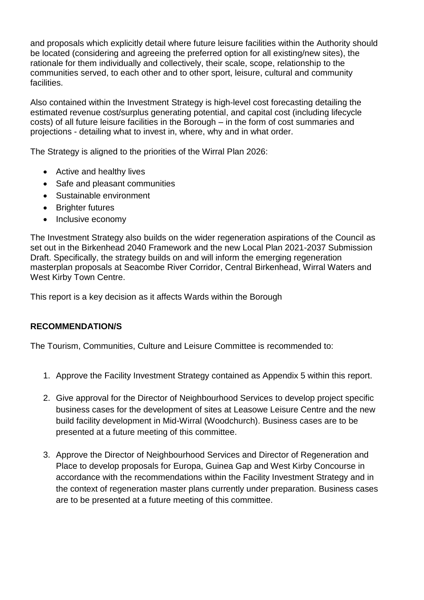and proposals which explicitly detail where future leisure facilities within the Authority should be located (considering and agreeing the preferred option for all existing/new sites), the rationale for them individually and collectively, their scale, scope, relationship to the communities served, to each other and to other sport, leisure, cultural and community facilities.

Also contained within the Investment Strategy is high-level cost forecasting detailing the estimated revenue cost/surplus generating potential, and capital cost (including lifecycle costs) of all future leisure facilities in the Borough – in the form of cost summaries and projections - detailing what to invest in, where, why and in what order.

The Strategy is aligned to the priorities of the Wirral Plan 2026:

- Active and healthy lives
- Safe and pleasant communities
- Sustainable environment
- Brighter futures
- Inclusive economy

The Investment Strategy also builds on the wider regeneration aspirations of the Council as set out in the Birkenhead 2040 Framework and the new Local Plan 2021-2037 Submission Draft. Specifically, the strategy builds on and will inform the emerging regeneration masterplan proposals at Seacombe River Corridor, Central Birkenhead, Wirral Waters and West Kirby Town Centre.

This report is a key decision as it affects Wards within the Borough

### **RECOMMENDATION/S**

The Tourism, Communities, Culture and Leisure Committee is recommended to:

- 1. Approve the Facility Investment Strategy contained as Appendix 5 within this report.
- 2. Give approval for the Director of Neighbourhood Services to develop project specific business cases for the development of sites at Leasowe Leisure Centre and the new build facility development in Mid-Wirral (Woodchurch). Business cases are to be presented at a future meeting of this committee.
- 3. Approve the Director of Neighbourhood Services and Director of Regeneration and Place to develop proposals for Europa, Guinea Gap and West Kirby Concourse in accordance with the recommendations within the Facility Investment Strategy and in the context of regeneration master plans currently under preparation. Business cases are to be presented at a future meeting of this committee.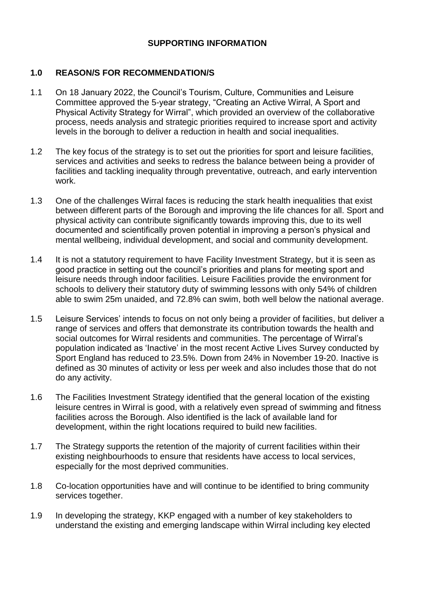### **SUPPORTING INFORMATION**

#### **1.0 REASON/S FOR RECOMMENDATION/S**

- 1.1 On 18 January 2022, the Council's Tourism, Culture, Communities and Leisure Committee approved the 5-year strategy, "Creating an Active Wirral, A Sport and Physical Activity Strategy for Wirral", which provided an overview of the collaborative process, needs analysis and strategic priorities required to increase sport and activity levels in the borough to deliver a reduction in health and social inequalities.
- 1.2 The key focus of the strategy is to set out the priorities for sport and leisure facilities, services and activities and seeks to redress the balance between being a provider of facilities and tackling inequality through preventative, outreach, and early intervention work.
- 1.3 One of the challenges Wirral faces is reducing the stark health inequalities that exist between different parts of the Borough and improving the life chances for all. Sport and physical activity can contribute significantly towards improving this, due to its well documented and scientifically proven potential in improving a person's physical and mental wellbeing, individual development, and social and community development.
- 1.4 It is not a statutory requirement to have Facility Investment Strategy, but it is seen as good practice in setting out the council's priorities and plans for meeting sport and leisure needs through indoor facilities. Leisure Facilities provide the environment for schools to delivery their statutory duty of swimming lessons with only 54% of children able to swim 25m unaided, and 72.8% can swim, both well below the national average.
- 1.5 Leisure Services' intends to focus on not only being a provider of facilities, but deliver a range of services and offers that demonstrate its contribution towards the health and social outcomes for Wirral residents and communities. The percentage of Wirral's population indicated as 'Inactive' in the most recent Active Lives Survey conducted by Sport England has reduced to 23.5%. Down from 24% in November 19-20. Inactive is defined as 30 minutes of activity or less per week and also includes those that do not do any activity.
- 1.6 The Facilities Investment Strategy identified that the general location of the existing leisure centres in Wirral is good, with a relatively even spread of swimming and fitness facilities across the Borough. Also identified is the lack of available land for development, within the right locations required to build new facilities.
- 1.7 The Strategy supports the retention of the majority of current facilities within their existing neighbourhoods to ensure that residents have access to local services, especially for the most deprived communities.
- 1.8 Co-location opportunities have and will continue to be identified to bring community services together.
- 1.9 In developing the strategy, KKP engaged with a number of key stakeholders to understand the existing and emerging landscape within Wirral including key elected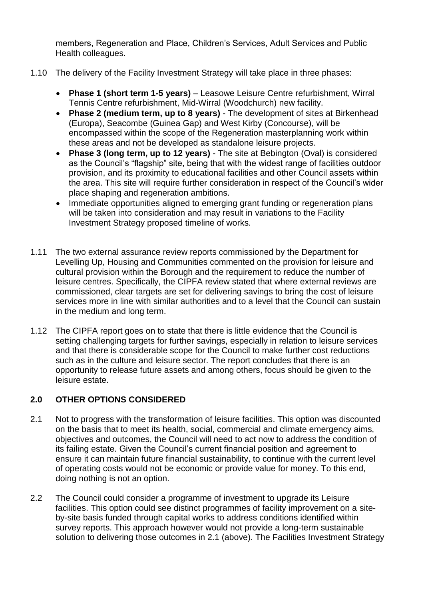members, Regeneration and Place, Children's Services, Adult Services and Public Health colleagues.

- 1.10 The delivery of the Facility Investment Strategy will take place in three phases:
	- **Phase 1 (short term 1-5 years)** Leasowe Leisure Centre refurbishment, Wirral Tennis Centre refurbishment, Mid-Wirral (Woodchurch) new facility.
	- **Phase 2 (medium term, up to 8 years)** The development of sites at Birkenhead (Europa), Seacombe (Guinea Gap) and West Kirby (Concourse), will be encompassed within the scope of the Regeneration masterplanning work within these areas and not be developed as standalone leisure projects.
	- **Phase 3 (long term, up to 12 years)** The site at Bebington (Oval) is considered as the Council's "flagship" site, being that with the widest range of facilities outdoor provision, and its proximity to educational facilities and other Council assets within the area. This site will require further consideration in respect of the Council's wider place shaping and regeneration ambitions.
	- Immediate opportunities aligned to emerging grant funding or regeneration plans will be taken into consideration and may result in variations to the Facility Investment Strategy proposed timeline of works.
- 1.11 The two external assurance review reports commissioned by the Department for Levelling Up, Housing and Communities commented on the provision for leisure and cultural provision within the Borough and the requirement to reduce the number of leisure centres. Specifically, the CIPFA review stated that where external reviews are commissioned, clear targets are set for delivering savings to bring the cost of leisure services more in line with similar authorities and to a level that the Council can sustain in the medium and long term.
- 1.12 The CIPFA report goes on to state that there is little evidence that the Council is setting challenging targets for further savings, especially in relation to leisure services and that there is considerable scope for the Council to make further cost reductions such as in the culture and leisure sector. The report concludes that there is an opportunity to release future assets and among others, focus should be given to the leisure estate.

# **2.0 OTHER OPTIONS CONSIDERED**

- 2.1 Not to progress with the transformation of leisure facilities. This option was discounted on the basis that to meet its health, social, commercial and climate emergency aims, objectives and outcomes, the Council will need to act now to address the condition of its failing estate. Given the Council's current financial position and agreement to ensure it can maintain future financial sustainability, to continue with the current level of operating costs would not be economic or provide value for money. To this end, doing nothing is not an option.
- 2.2 The Council could consider a programme of investment to upgrade its Leisure facilities. This option could see distinct programmes of facility improvement on a siteby-site basis funded through capital works to address conditions identified within survey reports. This approach however would not provide a long-term sustainable solution to delivering those outcomes in 2.1 (above). The Facilities Investment Strategy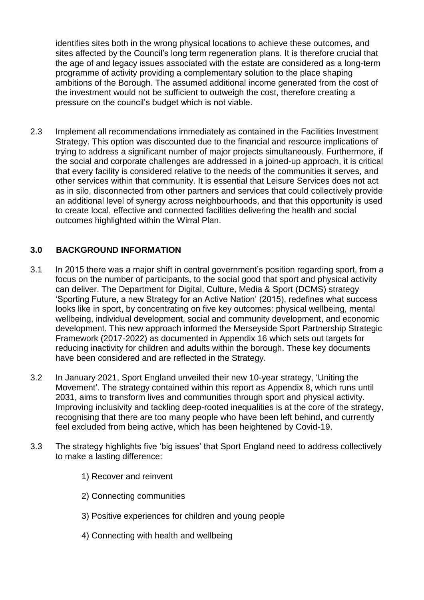identifies sites both in the wrong physical locations to achieve these outcomes, and sites affected by the Council's long term regeneration plans. It is therefore crucial that the age of and legacy issues associated with the estate are considered as a long-term programme of activity providing a complementary solution to the place shaping ambitions of the Borough. The assumed additional income generated from the cost of the investment would not be sufficient to outweigh the cost, therefore creating a pressure on the council's budget which is not viable.

2.3 Implement all recommendations immediately as contained in the Facilities Investment Strategy. This option was discounted due to the financial and resource implications of trying to address a significant number of major projects simultaneously. Furthermore, if the social and corporate challenges are addressed in a joined-up approach, it is critical that every facility is considered relative to the needs of the communities it serves, and other services within that community. It is essential that Leisure Services does not act as in silo, disconnected from other partners and services that could collectively provide an additional level of synergy across neighbourhoods, and that this opportunity is used to create local, effective and connected facilities delivering the health and social outcomes highlighted within the Wirral Plan.

# **3.0 BACKGROUND INFORMATION**

- 3.1 In 2015 there was a major shift in central government's position regarding sport, from a focus on the number of participants, to the social good that sport and physical activity can deliver. The Department for Digital, Culture, Media & Sport (DCMS) strategy 'Sporting Future, a new Strategy for an Active Nation' (2015), redefines what success looks like in sport, by concentrating on five key outcomes: physical wellbeing, mental wellbeing, individual development, social and community development, and economic development. This new approach informed the Merseyside Sport Partnership Strategic Framework (2017-2022) as documented in Appendix 16 which sets out targets for reducing inactivity for children and adults within the borough. These key documents have been considered and are reflected in the Strategy.
- 3.2 In January 2021, Sport England unveiled their new 10-year strategy, 'Uniting the Movement'. The strategy contained within this report as Appendix 8, which runs until 2031, aims to transform lives and communities through sport and physical activity. Improving inclusivity and tackling deep-rooted inequalities is at the core of the strategy, recognising that there are too many people who have been left behind, and currently feel excluded from being active, which has been heightened by Covid-19.
- 3.3 The strategy highlights five 'big issues' that Sport England need to address collectively to make a lasting difference:
	- 1) Recover and reinvent
	- 2) Connecting communities
	- 3) Positive experiences for children and young people
	- 4) Connecting with health and wellbeing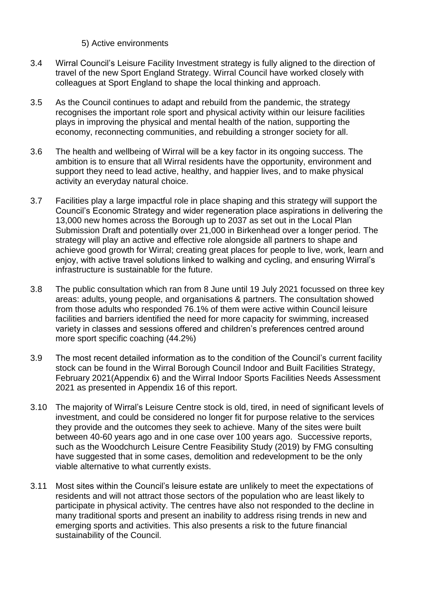#### 5) Active environments

- 3.4 Wirral Council's Leisure Facility Investment strategy is fully aligned to the direction of travel of the new Sport England Strategy. Wirral Council have worked closely with colleagues at Sport England to shape the local thinking and approach.
- 3.5 As the Council continues to adapt and rebuild from the pandemic, the strategy recognises the important role sport and physical activity within our leisure facilities plays in improving the physical and mental health of the nation, supporting the economy, reconnecting communities, and rebuilding a stronger society for all.
- 3.6 The health and wellbeing of Wirral will be a key factor in its ongoing success. The ambition is to ensure that all Wirral residents have the opportunity, environment and support they need to lead active, healthy, and happier lives, and to make physical activity an everyday natural choice.
- 3.7 Facilities play a large impactful role in place shaping and this strategy will support the Council's Economic Strategy and wider regeneration place aspirations in delivering the 13,000 new homes across the Borough up to 2037 as set out in the Local Plan Submission Draft and potentially over 21,000 in Birkenhead over a longer period. The strategy will play an active and effective role alongside all partners to shape and achieve good growth for Wirral; creating great places for people to live, work, learn and eniov. with active travel solutions linked to walking and cycling, and ensuring Wirral's infrastructure is sustainable for the future.
- 3.8 The public consultation which ran from 8 June until 19 July 2021 focussed on three key areas: adults, young people, and organisations & partners. The consultation showed from those adults who responded 76.1% of them were active within Council leisure facilities and barriers identified the need for more capacity for swimming, increased variety in classes and sessions offered and children's preferences centred around more sport specific coaching (44.2%)
- 3.9 The most recent detailed information as to the condition of the Council's current facility stock can be found in the Wirral Borough Council Indoor and Built Facilities Strategy, February 2021(Appendix 6) and the Wirral Indoor Sports Facilities Needs Assessment 2021 as presented in Appendix 16 of this report.
- 3.10 The majority of Wirral's Leisure Centre stock is old, tired, in need of significant levels of investment, and could be considered no longer fit for purpose relative to the services they provide and the outcomes they seek to achieve. Many of the sites were built between 40-60 years ago and in one case over 100 years ago. Successive reports, such as the Woodchurch Leisure Centre Feasibility Study (2019) by FMG consulting have suggested that in some cases, demolition and redevelopment to be the only viable alternative to what currently exists.
- 3.11 Most sites within the Council's leisure estate are unlikely to meet the expectations of residents and will not attract those sectors of the population who are least likely to participate in physical activity. The centres have also not responded to the decline in many traditional sports and present an inability to address rising trends in new and emerging sports and activities. This also presents a risk to the future financial sustainability of the Council.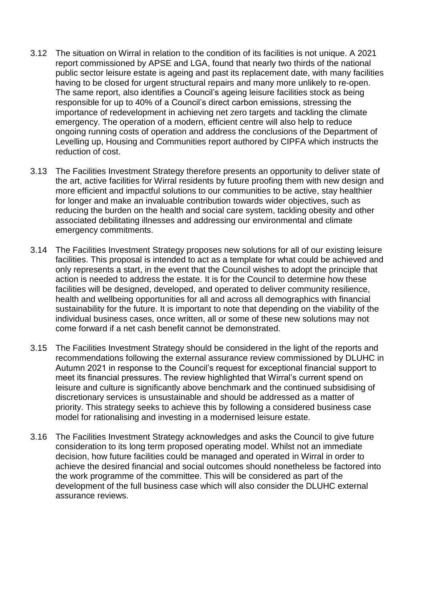- 3.12 The situation on Wirral in relation to the condition of its facilities is not unique. A 2021 report commissioned by APSE and LGA, found that nearly two thirds of the national public sector leisure estate is ageing and past its replacement date, with many facilities having to be closed for urgent structural repairs and many more unlikely to re-open. The same report, also identifies a Council's ageing leisure facilities stock as being responsible for up to 40% of a Council's direct carbon emissions, stressing the importance of redevelopment in achieving net zero targets and tackling the climate emergency. The operation of a modern, efficient centre will also help to reduce ongoing running costs of operation and address the conclusions of the Department of Levelling up, Housing and Communities report authored by CIPFA which instructs the reduction of cost.
- 3.13 The Facilities Investment Strategy therefore presents an opportunity to deliver state of the art, active facilities for Wirral residents by future proofing them with new design and more efficient and impactful solutions to our communities to be active, stay healthier for longer and make an invaluable contribution towards wider objectives, such as reducing the burden on the health and social care system, tackling obesity and other associated debilitating illnesses and addressing our environmental and climate emergency commitments.
- 3.14 The Facilities Investment Strategy proposes new solutions for all of our existing leisure facilities. This proposal is intended to act as a template for what could be achieved and only represents a start, in the event that the Council wishes to adopt the principle that action is needed to address the estate. It is for the Council to determine how these facilities will be designed, developed, and operated to deliver community resilience, health and wellbeing opportunities for all and across all demographics with financial sustainability for the future. It is important to note that depending on the viability of the individual business cases, once written, all or some of these new solutions may not come forward if a net cash benefit cannot be demonstrated.
- 3.15 The Facilities Investment Strategy should be considered in the light of the reports and recommendations following the external assurance review commissioned by DLUHC in Autumn 2021 in response to the Council's request for exceptional financial support to meet its financial pressures. The review highlighted that Wirral's current spend on leisure and culture is significantly above benchmark and the continued subsidising of discretionary services is unsustainable and should be addressed as a matter of priority. This strategy seeks to achieve this by following a considered business case model for rationalising and investing in a modernised leisure estate.
- 3.16 The Facilities Investment Strategy acknowledges and asks the Council to give future consideration to its long term proposed operating model. Whilst not an immediate decision, how future facilities could be managed and operated in Wirral in order to achieve the desired financial and social outcomes should nonetheless be factored into the work programme of the committee. This will be considered as part of the development of the full business case which will also consider the DLUHC external assurance reviews.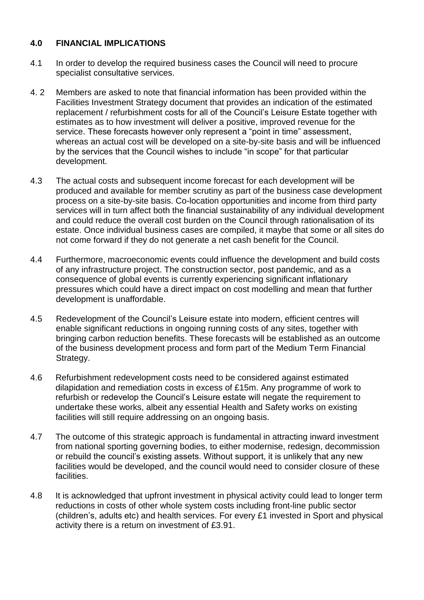### **4.0 FINANCIAL IMPLICATIONS**

- 4.1 In order to develop the required business cases the Council will need to procure specialist consultative services.
- 4. 2 Members are asked to note that financial information has been provided within the Facilities Investment Strategy document that provides an indication of the estimated replacement / refurbishment costs for all of the Council's Leisure Estate together with estimates as to how investment will deliver a positive, improved revenue for the service. These forecasts however only represent a "point in time" assessment, whereas an actual cost will be developed on a site-by-site basis and will be influenced by the services that the Council wishes to include "in scope" for that particular development.
- 4.3 The actual costs and subsequent income forecast for each development will be produced and available for member scrutiny as part of the business case development process on a site-by-site basis. Co-location opportunities and income from third party services will in turn affect both the financial sustainability of any individual development and could reduce the overall cost burden on the Council through rationalisation of its estate. Once individual business cases are compiled, it maybe that some or all sites do not come forward if they do not generate a net cash benefit for the Council.
- 4.4 Furthermore, macroeconomic events could influence the development and build costs of any infrastructure project. The construction sector, post pandemic, and as a consequence of global events is currently experiencing significant inflationary pressures which could have a direct impact on cost modelling and mean that further development is unaffordable.
- 4.5 Redevelopment of the Council's Leisure estate into modern, efficient centres will enable significant reductions in ongoing running costs of any sites, together with bringing carbon reduction benefits. These forecasts will be established as an outcome of the business development process and form part of the Medium Term Financial Strategy.
- 4.6 Refurbishment redevelopment costs need to be considered against estimated dilapidation and remediation costs in excess of £15m. Any programme of work to refurbish or redevelop the Council's Leisure estate will negate the requirement to undertake these works, albeit any essential Health and Safety works on existing facilities will still require addressing on an ongoing basis.
- 4.7 The outcome of this strategic approach is fundamental in attracting inward investment from national sporting governing bodies, to either modernise, redesign, decommission or rebuild the council's existing assets. Without support, it is unlikely that any new facilities would be developed, and the council would need to consider closure of these facilities.
- 4.8 It is acknowledged that upfront investment in physical activity could lead to longer term reductions in costs of other whole system costs including front-line public sector (children's, adults etc) and health services. For every £1 invested in Sport and physical activity there is a return on investment of £3.91.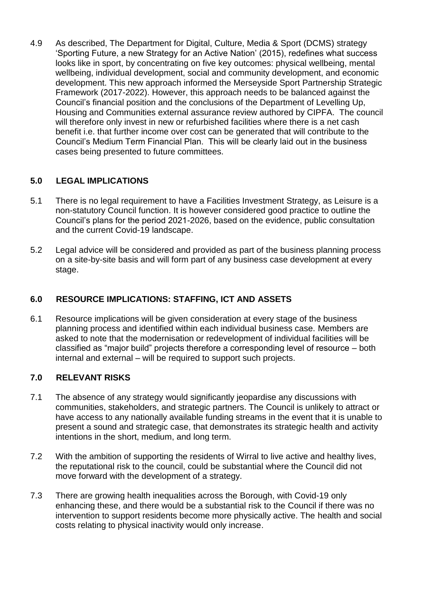4.9 As described, The Department for Digital, Culture, Media & Sport (DCMS) strategy 'Sporting Future, a new Strategy for an Active Nation' (2015), redefines what success looks like in sport, by concentrating on five key outcomes: physical wellbeing, mental wellbeing, individual development, social and community development, and economic development. This new approach informed the Merseyside Sport Partnership Strategic Framework (2017-2022). However, this approach needs to be balanced against the Council's financial position and the conclusions of the Department of Levelling Up, Housing and Communities external assurance review authored by CIPFA. The council will therefore only invest in new or refurbished facilities where there is a net cash benefit i.e. that further income over cost can be generated that will contribute to the Council's Medium Term Financial Plan. This will be clearly laid out in the business cases being presented to future committees.

### **5.0 LEGAL IMPLICATIONS**

- 5.1 There is no legal requirement to have a Facilities Investment Strategy, as Leisure is a non-statutory Council function. It is however considered good practice to outline the Council's plans for the period 2021-2026, based on the evidence, public consultation and the current Covid-19 landscape.
- 5.2 Legal advice will be considered and provided as part of the business planning process on a site-by-site basis and will form part of any business case development at every stage.

# **6.0 RESOURCE IMPLICATIONS: STAFFING, ICT AND ASSETS**

6.1 Resource implications will be given consideration at every stage of the business planning process and identified within each individual business case. Members are asked to note that the modernisation or redevelopment of individual facilities will be classified as "major build" projects therefore a corresponding level of resource – both internal and external – will be required to support such projects.

# **7.0 RELEVANT RISKS**

- 7.1 The absence of any strategy would significantly jeopardise any discussions with communities, stakeholders, and strategic partners. The Council is unlikely to attract or have access to any nationally available funding streams in the event that it is unable to present a sound and strategic case, that demonstrates its strategic health and activity intentions in the short, medium, and long term.
- 7.2 With the ambition of supporting the residents of Wirral to live active and healthy lives, the reputational risk to the council, could be substantial where the Council did not move forward with the development of a strategy.
- 7.3 There are growing health inequalities across the Borough, with Covid-19 only enhancing these, and there would be a substantial risk to the Council if there was no intervention to support residents become more physically active. The health and social costs relating to physical inactivity would only increase.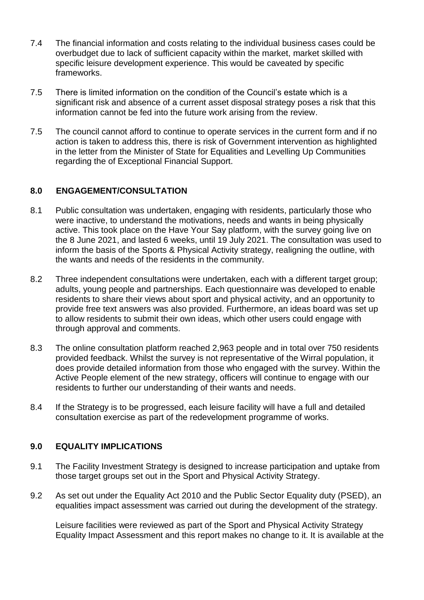- 7.4 The financial information and costs relating to the individual business cases could be overbudget due to lack of sufficient capacity within the market, market skilled with specific leisure development experience. This would be caveated by specific frameworks.
- 7.5 There is limited information on the condition of the Council's estate which is a significant risk and absence of a current asset disposal strategy poses a risk that this information cannot be fed into the future work arising from the review.
- 7.5 The council cannot afford to continue to operate services in the current form and if no action is taken to address this, there is risk of Government intervention as highlighted in the letter from the Minister of State for Equalities and Levelling Up Communities regarding the of Exceptional Financial Support.

### **8.0 ENGAGEMENT/CONSULTATION**

- 8.1 Public consultation was undertaken, engaging with residents, particularly those who were inactive, to understand the motivations, needs and wants in being physically active. This took place on the Have Your Say platform, with the survey going live on the 8 June 2021, and lasted 6 weeks, until 19 July 2021. The consultation was used to inform the basis of the Sports & Physical Activity strategy, realigning the outline, with the wants and needs of the residents in the community.
- 8.2 Three independent consultations were undertaken, each with a different target group; adults, young people and partnerships. Each questionnaire was developed to enable residents to share their views about sport and physical activity, and an opportunity to provide free text answers was also provided. Furthermore, an ideas board was set up to allow residents to submit their own ideas, which other users could engage with through approval and comments.
- 8.3 The online consultation platform reached 2,963 people and in total over 750 residents provided feedback. Whilst the survey is not representative of the Wirral population, it does provide detailed information from those who engaged with the survey. Within the Active People element of the new strategy, officers will continue to engage with our residents to further our understanding of their wants and needs.
- 8.4 If the Strategy is to be progressed, each leisure facility will have a full and detailed consultation exercise as part of the redevelopment programme of works.

### **9.0 EQUALITY IMPLICATIONS**

- 9.1 The Facility Investment Strategy is designed to increase participation and uptake from those target groups set out in the Sport and Physical Activity Strategy.
- 9.2 As set out under the Equality Act 2010 and the Public Sector Equality duty (PSED), an equalities impact assessment was carried out during the development of the strategy.

Leisure facilities were reviewed as part of the Sport and Physical Activity Strategy Equality Impact Assessment and this report makes no change to it. It is available at the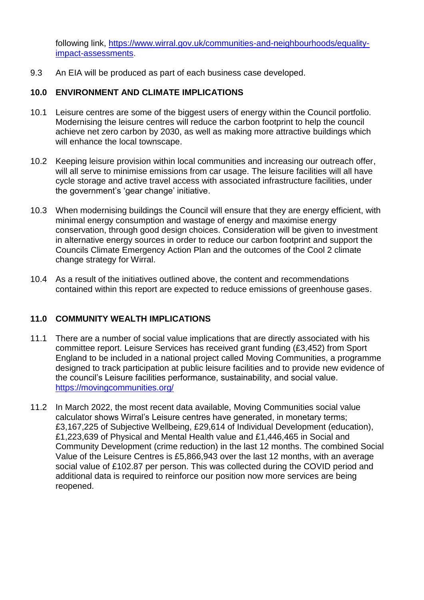following link, [https://www.wirral.gov.uk/communities-and-neighbourhoods/equality](https://www.wirral.gov.uk/communities-and-neighbourhoods/equality-impact-assessments)[impact-assessments.](https://www.wirral.gov.uk/communities-and-neighbourhoods/equality-impact-assessments)

9.3 An EIA will be produced as part of each business case developed.

## **10.0 ENVIRONMENT AND CLIMATE IMPLICATIONS**

- 10.1 Leisure centres are some of the biggest users of energy within the Council portfolio. Modernising the leisure centres will reduce the carbon footprint to help the council achieve net zero carbon by 2030, as well as making more attractive buildings which will enhance the local townscape.
- 10.2 Keeping leisure provision within local communities and increasing our outreach offer, will all serve to minimise emissions from car usage. The leisure facilities will all have cycle storage and active travel access with associated infrastructure facilities, under the government's 'gear change' initiative.
- 10.3 When modernising buildings the Council will ensure that they are energy efficient, with minimal energy consumption and wastage of energy and maximise energy conservation, through good design choices. Consideration will be given to investment in alternative energy sources in order to reduce our carbon footprint and support the Councils Climate Emergency Action Plan and the outcomes of the Cool 2 climate change strategy for Wirral.
- 10.4 As a result of the initiatives outlined above, the content and recommendations contained within this report are expected to reduce emissions of greenhouse gases.

### **11.0 COMMUNITY WEALTH IMPLICATIONS**

- 11.1 There are a number of social value implications that are directly associated with his committee report. Leisure Services has received grant funding (£3,452) from Sport England to be included in a national project called Moving Communities, a programme designed to track participation at public leisure facilities and to provide new evidence of the council's Leisure facilities performance, sustainability, and social value. <https://movingcommunities.org/>
- 11.2 In March 2022, the most recent data available, Moving Communities social value calculator shows Wirral's Leisure centres have generated, in monetary terms; £3,167,225 of Subjective Wellbeing, £29,614 of Individual Development (education), £1,223,639 of Physical and Mental Health value and £1,446,465 in Social and Community Development (crime reduction) in the last 12 months. The combined Social Value of the Leisure Centres is £5,866,943 over the last 12 months, with an average social value of £102.87 per person. This was collected during the COVID period and additional data is required to reinforce our position now more services are being reopened.